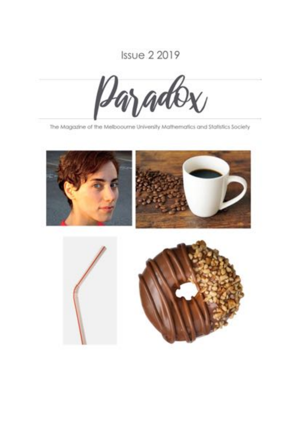# **Issue 2 2019**



The Magazine of the Melboourne University Mathematics and Statistics Society

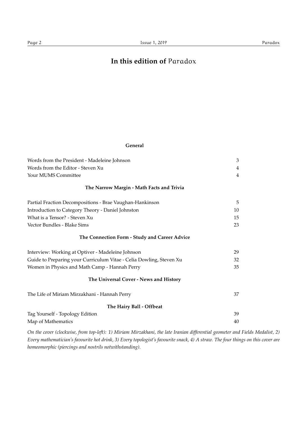## **In this edition of** Paradox

#### **General**

| Words from the President - Madeleine Johnson                        | 3              |
|---------------------------------------------------------------------|----------------|
| Words from the Editor - Steven Xu                                   | 4              |
| Your MUMS Committee                                                 | $\overline{4}$ |
| The Narrow Margin - Math Facts and Trivia                           |                |
| Partial Fraction Decompositions - Brae Vaughan-Hankinson            | 5              |
| Introduction to Category Theory - Daniel Johnston                   | 10             |
| What is a Tensor? - Steven Xu                                       | 15             |
| Vector Bundles - Blake Sims                                         | 23             |
| The Connection Form - Study and Career Advice                       |                |
| Interview: Working at Optiver - Madeleine Johnson                   | 29             |
| Guide to Preparing your Curriculum Vitae - Celia Dowling, Steven Xu | 32             |
| Women in Physics and Math Camp - Hannah Perry                       | 35             |
| The Universal Cover - News and History                              |                |
| The Life of Miriam Mirzakhani - Hannah Perry                        | 37             |
| The Hairy Ball - Offbeat                                            |                |
| Tag Yourself - Topology Edition                                     | 39             |
| Map of Mathematics                                                  | 40             |

*On the cover (clockwise, from top-left): 1) Miriam Mirzakhani, the late Iranian differential geometer and Fields Medalist, 2) Every mathematician's favourite hot drink, 3) Every topologist's favourite snack, 4) A straw. The four things on this cover are homeomorphic (piercings and nostrils notwithstanding).*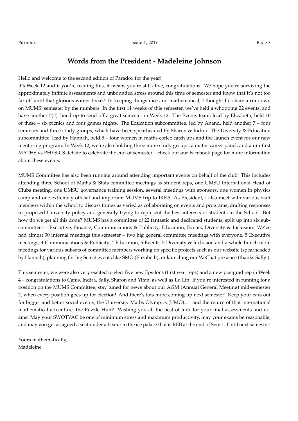### **Words from the President - Madeleine Johnson**

Hello and welcome to the second edition of Paradox for the year!

It's Week 12 and if you're reading this, it means you're still alive, congratulations! We hope you're surviving the approximately infinite assessments and unbounded stress around this time of semester and know that it's not too far off until that glorious winter break! In keeping things nice and mathematical, I thought I'd share a rundown on MUMS' semester by the numbers. In the first 11 weeks of this semester, we've held a whopping 22 events, and have another 5(!!) lined up to send off a great semester in Week 12. The Events team, lead by Elizabeth, held 10 of these – six picnics and four games nights. The Education subcommittee, led by Anand, held another 7 – four seminars and three study groups, which have been spearheaded by Sharon & Indira. The Diversity & Education subcommittee, lead by Hannah, held 5 – four women in maths coffee catch ups and the launch event for our new mentoring program. In Week 12, we're also holding three more study groups, a maths career panel, and a uni-first MATHS vs PHYSICS debate to celebrate the end of semester – check out our Facebook page for more information about these events.

MUMS Committee has also been running around attending important events on behalf of the club! This includes attending three School of Maths & Stats committee meetings as student reps, one UMSU International Head of Clubs meeting, one UMSU governance training session, several meetings with sponsors, one women in physics camp and one extremely official and important MUMS trip to IKEA. As President, I also meet with various staff members within the school to discuss things as varied as collaborating on events and programs, drafting responses to proposed University policy and generally trying to represent the best interests of students to the School. But how do we get all this done? MUMS has a committee of 22 fantastic and dedicated students, split up into six subcommittees – Executive, Finance, Communications & Publicity, Education, Events, Diversity & Inclusion. We've had almost 30 internal meetings this semester – two big general committee meetings with everyone, 5 Executive meetings, 4 Communications & Publicity, 4 Education, 5 Events, 5 Diversity & Inclusion and a whole bunch more meetings for various subsets of committee members working on specific projects such as our website (spearheaded by Hannah), planning for big Sem 2 events like SMO (Elizabeth), or launching our WeChat presence (thanks Sally!).

This semester, we were also very excited to elect five new Epsilons (first year reps) and a new postgrad rep in Week 4 – congratulations to Canis, Indira, Sally, Sharon and Yifan, as well as Lu Lin. If you're interested in running for a position on the MUMS Committee, stay tuned for news about our AGM (Annual General Meeting) mid-semester 2, when every position goes up for election! And there's lots more coming up next semester! Keep your ears out for bigger and better social events, the University Maths Olympics (UMO). . . and the return of that international mathematical adventure, the Puzzle Hunt! Wishing you all the best of luck for your final assessments and exams! May your SWOTVAC be one of minimum stress and maximum productivity, may your exams be reasonable, and may you get assigned a seat under a heater in the ice palace that is REB at the end of Sem 1. Until next semester!

Yours mathematically, Madeleine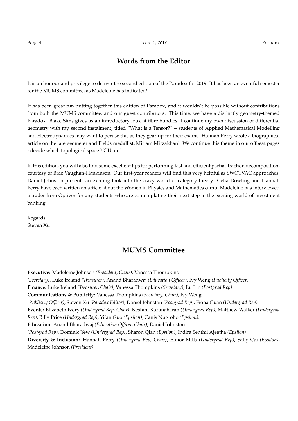### **Words from the Editor**

It is an honour and privilege to deliver the second edition of the Paradox for 2019. It has been an eventful semester for the MUMS committee, as Madeleine has indicated!

It has been great fun putting together this edition of Paradox, and it wouldn't be possible without contributions from both the MUMS committee, and our guest contributors. This time, we have a distinctly geometry-themed Paradox. Blake Sims gives us an introductory look at fibre bundles. I continue my own discussion of differential geometry with my second instalment, titled "What is a Tensor?" – students of Applied Mathematical Modelling and Electrodynamics may want to peruse this as they gear up for their exams! Hannah Perry wrote a biographical article on the late geometer and Fields medallist, Miriam Mirzakhani. We continue this theme in our offbeat pages - decide which topological space YOU are!

In this edition, you will also find some excellent tips for performing fast and efficient partial-fraction decomposition, courtesy of Brae Vaughan-Hankinson. Our first-year readers will find this very helpful as SWOTVAC approaches. Daniel Johnston presents an exciting look into the crazy world of category theory. Celia Dowling and Hannah Perry have each written an article about the Women in Physics and Mathematics camp. Madeleine has interviewed a trader from Optiver for any students who are contemplating their next step in the exciting world of investment banking.

Regards, Steven Xu

### **MUMS Committee**

**Executive:** Madeleine Johnson *(President, Chair)*, Vanessa Thompkins *(Secretary)*, Luke Ireland *(Treasurer)*, Anand Bharadwaj *(Education Officer)*, Ivy Weng *(Publicity Officer)* **Finance:** Luke Ireland *(Treasurer, Chair)*, Vanessa Thompkins *(Secretary)*, Lu Lin *(Postgrad Rep)* **Communications & Publicity:** Vanessa Thompkins *(Secretary, Chair)*, Ivy Weng *(Publicity Officer)*, Steven Xu *(Paradox Editor)*, Daniel Johnston *(Postgrad Rep)*, Fiona Guan *(Undergrad Rep)* **Events:** Elizabeth Ivory *(Undergrad Rep, Chair)*, Keshini Karunaharan *(Undergrad Rep)*, Matthew Walker *(Undergrad Rep)*, Billy Price *(Undergrad Rep)*, Yifan Guo *(Epsilon)*, Canis Nugroho *(Epsilon)*. **Education:** Anand Bharadwaj *(Education Officer, Chair)*, Daniel Johnston *(Postgrad Rep)*, Dominic Yew *(Undergrad Rep)*, Sharon Qian *(Epsilon)*, Indira Senthil Ajeetha *(Epsilon)* **Diversity & Inclusion:** Hannah Perry *(Undergrad Rep, Chair)*, Elinor Mills *(Undergrad Rep)*, Sally Cai *(Epsilon)*, Madeleine Johnson *(President)*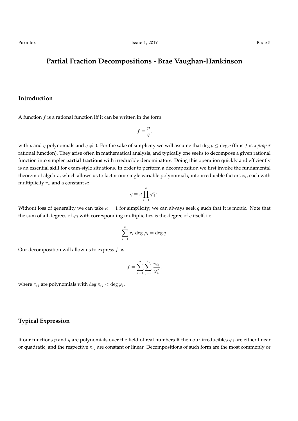### **Partial Fraction Decompositions - Brae Vaughan-Hankinson**

#### **Introduction**

A function *f* is a rational function iff it can be written in the form

$$
f=\frac{p}{q},
$$

with *p* and *q* polynomials and  $q \neq 0$ . For the sake of simplicity we will assume that deg  $p \leq \deg q$  (thus *f* is a *proper* rational function). They arise often in mathematical analysis, and typically one seeks to decompose a given rational function into simpler **partial fractions** with irreducible denominators. Doing this operation quickly and efficiently is an essential skill for exam-style situations. In order to perform a decomposition we first invoke the fundamental theorem of algebra, which allows us to factor our single variable polynomial *q* into irreducible factors  $\varphi_i$ , each with multiplicity  $r_i$ , and a constant  $\kappa$ :

$$
q = \kappa \prod_{i=1}^k \varphi_i^{r_i}.
$$

Without loss of generality we can take  $\kappa = 1$  for simplicity; we can always seek q such that it is monic. Note that the sum of all degrees of  $\varphi_i$  with corresponding multiplicities is the degree of  $q$  itself, i.e.

$$
\sum_{i=1}^{k} r_i \deg \varphi_i = \deg q.
$$

Our decomposition will allow us to express *f* as

$$
f = \sum_{i=1}^{k} \sum_{j=1}^{r_i} \frac{\pi_{ij}}{\varphi_i^j},
$$

where  $\pi_{ij}$  are polynomials with  $\deg \pi_{ij} < \deg \varphi_i$ .

#### **Typical Expression**

If our functions *p* and *q* are polynomials over the field of real numbers  $\mathbb R$  then our irreducibles  $\varphi_i$  are either linear or quadratic, and the respective  $\pi_{ij}$  are constant or linear. Decompositions of such form are the most commonly or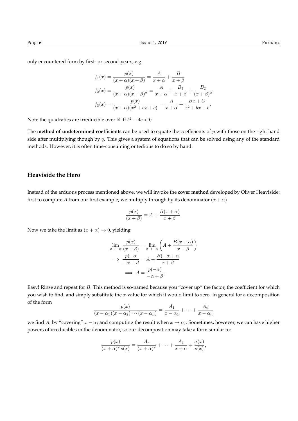only encountered form by first- or second-years, e.g.

$$
f_1(x) = \frac{p(x)}{(x+\alpha)(x+\beta)} = \frac{A}{x+\alpha} + \frac{B}{x+\beta}
$$
  
\n
$$
f_2(x) = \frac{p(x)}{(x+\alpha)(x+\beta)^2} = \frac{A}{x+\alpha} + \frac{B_1}{x+\beta} + \frac{B_2}{(x+\beta)^2}
$$
  
\n
$$
f_3(x) = \frac{p(x)}{(x+\alpha)(x^2+bx+c)} = \frac{A}{x+\alpha} + \frac{Bx+C}{x^2+bx+c}.
$$

Note the quadratics are irreducible over  $\mathbb R$  iff  $b^2 - 4c < 0$ .

The **method of undetermined coefficients** can be used to equate the coefficients of *p* with those on the right hand side after multiplying though by *q*. This gives a system of equations that can be solved using any of the standard methods. However, it is often time-consuming or tedious to do so by hand.

### **Heaviside the Hero**

Instead of the arduous process mentioned above, we will invoke the **cover method** developed by Oliver Heaviside: first to compute *A* from our first example, we multiply through by its denominator  $(x + \alpha)$ 

$$
\frac{p(x)}{(x+\beta)} = A + \frac{B(x+\alpha)}{x+\beta}.
$$

Now we take the limit as  $(x + \alpha) \rightarrow 0$ , yielding

$$
\lim_{x \to -\alpha} \frac{p(x)}{(x + \beta)} = \lim_{x \to -\alpha} \left( A + \frac{B(x + \alpha)}{x + \beta} \right)
$$
\n
$$
\implies \frac{p(-\alpha)}{-\alpha + \beta} = A + \frac{B(-\alpha + \alpha)}{x + \beta}
$$
\n
$$
\implies A = \frac{p(-\alpha)}{-\alpha + \beta}.
$$

Easy! Rinse and repeat for *B*. This method is so-named because you "cover up" the factor, the coefficient for which you wish to find, and simply substitute the *x*-value for which it would limit to zero. In general for a decomposition of the form

$$
\frac{p(x)}{(x-\alpha_1)(x-\alpha_2)\cdots(x-\alpha_n)}=\frac{A_1}{x-\alpha_1}+\cdots+\frac{A_n}{x-\alpha_n}
$$

we find  $A_i$  by "covering"  $x - \alpha_i$  and computing the result when  $x \to \alpha_i$ . Sometimes, however, we can have higher powers of irreducibles in the denominator, so our decomposition may take a form similar to:

$$
\frac{p(x)}{(x+\alpha)^r s(x)} = \frac{A_r}{(x+\alpha)^r} + \dots + \frac{A_1}{x+\alpha} + \frac{\sigma(x)}{s(x)},
$$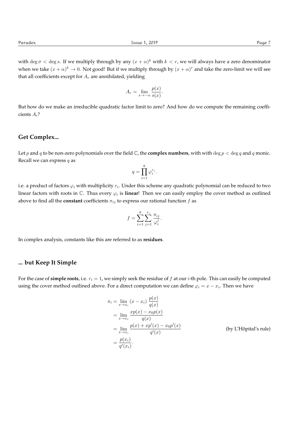with deg  $\sigma$  < deg *s*. If we multiply through by any  $(x + \alpha)^k$  with  $k < r$ , we will always have a zero denominator when we take  $(x + \alpha)^k \to 0$ . Not good! But if we multiply through by  $(x + \alpha)^r$  and take the zero-limit we will see that all coefficients except for  $A_r$  are annihilated, yielding

$$
A_r = \lim_{x \to -\alpha} \frac{p(x)}{s(x)}.
$$

But how do we make an irreducible quadratic factor limit to zero? And how do we compute the remaining coefficients *Ai*?

#### **Get Complex...**

Let *p* and *q* to be non-zero polynomials over the field  $\mathbb C$ , the **complex numbers**, with with  $\deg p < \deg q$  and *q* monic. Recall we can express *q* as

$$
q = \prod_{i=1}^k \varphi_i^{r_i}.
$$

i.e. a product of factors  $\varphi_i$  with multiplicity  $r_i$ . Under this scheme any quadratic polynomial can be reduced to two linear factors with roots in  $\mathbb{C}$ . Thus every  $\varphi_i$  is **linear**! Then we can easily employ the cover method as outlined above to find all the **constant** coefficients  $\pi_{ij}$  to express our rational function  $f$  as

$$
f = \sum_{i=1}^{k} \sum_{j=1}^{r_i} \frac{\pi_{ij}}{\varphi_i^j}.
$$

In complex analysis, constants like this are referred to as **residues**.

#### **... but Keep It Simple**

For the case of **simple roots**, i.e.  $r_i = 1$ , we simply seek the residue of  $f$  at our  $i$ -th pole. This can easily be computed using the cover method outlined above. For a direct computation we can define  $\varphi_i = x - x_i$ . Then we have

$$
\pi_i = \lim_{x \to x_i} (x - x_i) \frac{p(x)}{q(x)}
$$
\n
$$
= \lim_{x \to x_i} \frac{xp(x) - x_0p(x)}{q(x)}
$$
\n
$$
= \lim_{x \to x_i} \frac{p(x) + xp'(x) - x_0p'(x)}{q'(x)}
$$
\n(by L'Hôpital's rule)\n
$$
= \frac{p(x_i)}{q'(x_i)}.
$$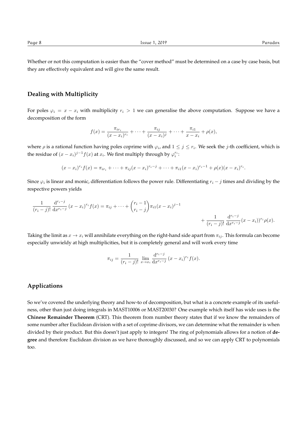Whether or not this computation is easier than the "cover method" must be determined on a case by case basis, but they are effectively equivalent and will give the same result.

#### **Dealing with Multiplicity**

For poles  $\varphi_i = x - x_i$  with multiplicity  $r_i > 1$  we can generalise the above computation. Suppose we have a decomposition of the form

$$
f(x) = \frac{\pi_{ir_i}}{(x - x_i)^{r_i}} + \dots + \frac{\pi_{ij}}{(x - x_i)^j} + \dots + \frac{\pi_{i1}}{x - x_i} + \rho(x),
$$

where  $\rho$  is a rational function having poles coprime with  $\varphi_i$ , and  $1 \leq j \leq r_i$ . We seek the *j*-th coefficient, which is the residue of  $(x - x_i)^{j-1} f(x)$  at  $x_i$ . We first multiply through by  $\varphi_i^{r_i}$ :

$$
(x-x_i)^{r_i} f(x) = \pi_{ir_i} + \cdots + \pi_{ij} (x-x_i)^{r_i-j} + \cdots + \pi_{i1} (x-x_i)^{r_i-1} + \rho(x) (x-x_i)^{r_i}.
$$

Since  $\varphi_i$  is linear and monic, differentiation follows the power rule. Differentiating  $r_i - j$  times and dividing by the respective powers yields

$$
\frac{1}{(r_i-j)!} \frac{d^{r_i-j}}{dx^{r_i-j}} (x-x_i)^{r_i} f(x) = \pi_{ij} + \dots + {r_i-1 \choose r_i-j} \pi_{i1} (x-x_i)^{j-1} + \frac{1}{(r_i-j)!} \frac{d^{r_i-j}}{dx^{r_i-j}} (x-x_i)^{r_i} \rho(x).
$$

Taking the limit as  $x \to x_i$  will annihilate everything on the right-hand side apart from  $\pi_{ij}$ . This formula can become especially unwieldy at high multiplicities, but it is completely general and will work every time

$$
\pi_{ij} = \frac{1}{(r_i - j)!} \lim_{x \to x_i} \frac{d^{r_i - j}}{dx^{r_i - j}} (x - x_i)^{r_i} f(x).
$$

#### **Applications**

So we've covered the underlying theory and how-to of decomposition, but what is a concrete example of its usefulness, other than just doing integrals in MAST10006 or MAST20030? One example which itself has wide uses is the **Chinese Remainder Theorem** (CRT). This theorem from number theory states that if we know the remainders of some number after Euclidean division with a set of coprime divisors, we can determine what the remainder is when divided by their product. But this doesn't just apply to integers! The ring of polynomials allows for a notion of **degree** and therefore Euclidean division as we have thoroughly discussed, and so we can apply CRT to polynomials too.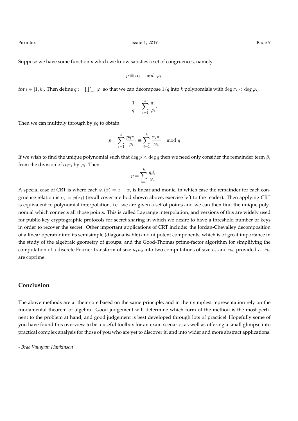Suppose we have some function *p* which we know satisfies a set of congruences, namely

$$
p \equiv \alpha_i \mod \varphi_i,
$$

for  $i \in [1, k]$ . Then define  $q := \prod_{i=1}^k \varphi_i$  so that we can decompose  $1/q$  into  $k$  polynomials with  $\deg \pi_i < \deg \varphi_i$ ,

$$
\frac{1}{q} = \sum_{i=1}^{k} \frac{\pi_i}{\varphi_i}.
$$

Then we can multiply through by *pq* to obtain

$$
p = \sum_{i=1}^{k} \frac{pq\pi_i}{\varphi_i} \equiv \sum_{i=1}^{k} \frac{\alpha_i \pi_i}{\varphi_i} \mod q
$$

If we wish to find the unique polynomial such that  $\deg p < \deg q$  then we need only consider the remainder term  $\beta_i$ from the division of  $\alpha_i \pi_i$  by  $\varphi_i$ . Then

$$
p = \sum_{i=1}^{k} \frac{q\beta_i}{\varphi_i}.
$$

A special case of CRT is where each  $\varphi_i(x) = x - x_i$  is linear and monic, in which case the remainder for each congruence relation is  $\alpha_i = p(x_i)$  (recall cover method shown above; exercise left to the reader). Then applying CRT is equivalent to polynomial interpolation, i.e. we are given a set of points and we can then find the unique polynomial which connects all those points. This is called Lagrange interpolation, and versions of this are widely used for public-key cryptographic protocols for secret sharing in which we desire to have a threshold number of keys in order to recover the secret. Other important applications of CRT include: the Jordan-Chevalley decomposition of a linear operator into its semisimple (diagonalisable) and nilpotent components, which is of great importance in the study of the algebraic geometry of groups; and the Good-Thomas prime-factor algorithm for simplifying the computation of a discrete Fourier transform of size  $n_1n_2$  into two computations of size  $n_1$  and  $n_2$ , provided  $n_1, n_2$ are coprime.

#### **Conclusion**

The above methods are at their core based on the same principle, and in their simplest representation rely on the fundamental theorem of algebra. Good judgement will determine which form of the method is the most pertinent to the problem at hand, and good judgement is best developed through lots of practice! Hopefully some of you have found this overview to be a useful toolbox for an exam scenario, as well as offering a small glimpse into practical complex analysis for those of you who are yet to discover it, and into wider and more abstract applications.

*- Brae Vaughan Hankinson*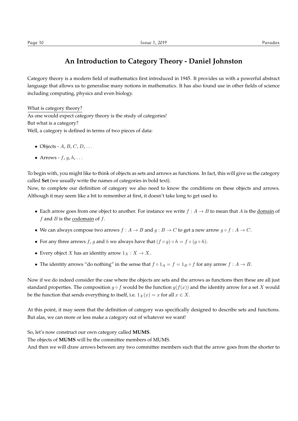Category theory is a modern field of mathematics first introduced in 1945. It provides us with a powerful abstract language that allows us to generalise many notions in mathematics. It has also found use in other fields of science including computing, physics and even biology.

What is category theory? As one would expect category theory is the study of categories! But what is a category? Well, a category is defined in terms of two pieces of data:

- *•* Objects *A*, *B*, *C*, *D*, *...*
- Arrows  $f$ ,  $g$ ,  $h$ ,  $\dots$

To begin with, you might like to think of objects as sets and arrows as functions. In fact, this will give us the category called **Set** (we usually write the names of categories in bold text).

Now, to complete our definition of category we also need to know the conditions on these objects and arrows. Although it may seem like a bit to remember at first, it doesn't take long to get used to.

- Each arrow goes from one object to another. For instance we write  $f : A \rightarrow B$  to mean that *A* is the domain of *f* and *B* is the codomain of *f*.
- We can always compose two arrows  $f : A \rightarrow B$  and  $g : B \rightarrow C$  to get a new arrow  $g \circ f : A \rightarrow C$ .
- For any three arrows *f*, *g* and *h* we always have that  $(f \circ g) \circ h = f \circ (g \circ h)$ .
- Every object *X* has an identity arrow  $1_X : X \to X$ .
- The identity arrows "do nothing" in the sense that  $f \circ 1_A = f = 1_B \circ f$  for any arrow  $f : A \to B$ .

Now if we do indeed consider the case where the objects are sets and the arrows as functions then these are all just standard properties. The composition  $g \circ f$  would be the function  $g(f(x))$  and the identity arrow for a set *X* would be the function that sends everything to itself, i.e.  $1_X(x) = x$  for all  $x \in X$ .

At this point, it may seem that the definition of category was specifically designed to describe sets and functions. But alas, we can more or less make a category out of whatever we want!

So, let's now construct our own category called **MUMS**.

The objects of **MUMS** will be the committee members of MUMS.

And then we will draw arrows between any two committee members such that the arrow goes from the shorter to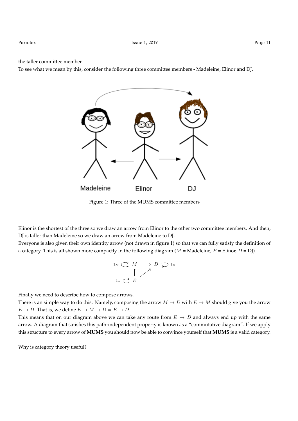the taller committee member.

To see what we mean by this, consider the following three committee members - Madeleine, Elinor and DJ.



Figure 1: Three of the MUMS committee members

Elinor is the shortest of the three so we draw an arrow from Elinor to the other two committee members. And then, DJ is taller than Madeleine so we draw an arrow from Madeleine to DJ.

Everyone is also given their own identity arrow (not drawn in figure 1) so that we can fully satisfy the definition of a category. This is all shown more compactly in the following diagram  $(M = \text{Madeleine}, E = \text{Elinor}, D = \text{D})$ .

$$
\begin{array}{ccc}\n1_M & \stackrel{\longrightarrow}{\longrightarrow} & M \longrightarrow D \supseteq 1_D \\
\uparrow & & \nearrow \\
1_E & \stackrel{\longrightarrow}{\longleftarrow} & E\n\end{array}
$$

Finally we need to describe how to compose arrows.

There is an simple way to do this. Namely, composing the arrow  $M \to D$  with  $E \to M$  should give you the arrow  $E \rightarrow D$ . That is, we define  $E \rightarrow M \rightarrow D = E \rightarrow D$ .

This means that on our diagram above we can take any route from  $E \rightarrow D$  and always end up with the same arrow. A diagram that satisfies this path-independent property is known as a "commutative diagram". If we apply this structure to every arrow of **MUMS** you should now be able to convince yourself that **MUMS** is a valid category.

Why is category theory useful?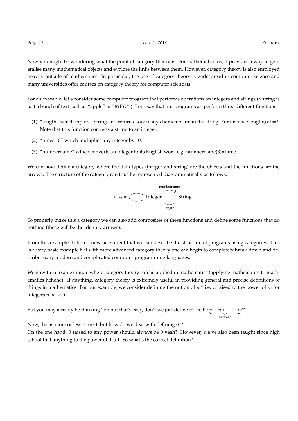Now you might be wondering what the point of category theory is. For mathematicians, it provides a way to generalise many mathematical objects and explore the links between them. However, category theory is also employed heavily outside of mathematics. In particular, the use of category theory is widespread in computer science and many universities offer courses on category theory for computer scientists.

For an example, let's consider some computer program that performs operations on integers and strings (a string is just a bunch of text such as "apple" or "89F@\*"). Let's say that our program can perform three different functions:

- (1) "length" which inputs a string and returns how many characters are in the string. For instance length(cat)=3. Note that this function converts a string to an integer.
- (2) "times 10" which multiplies any integer by 10.
- (3) "numbername" which converts an integer to its English word e.g. numbername(3)=three.

We can now define a category where the data types (integer and string) are the objects and the functions are the arrows. The structure of the category can thus be represented diagrammatically as follows:



To properly make this a category we can also add composites of these functions and define some functions that do nothing (these will be the identity arrows).

From this example it should now be evident that we can describe the structure of programs using categories. This is a very basic example but with more advanced category theory one can begin to completely break down and describe many modern and complicated computer programming languages.

We now turn to an example where category theory can be applied in mathematics (applying mathematics to mathematics hehehe). If anything, category theory is extremely useful in providing general and precise definitions of things in mathematics. For our example, we consider defining the notion of *n<sup>m</sup>* i.e. *n* raised to the power of *m* for integers  $n, m \geq 0$ .

But you may already be thinking "oh but that's easy, don't we just define  $n^m$  to be  $\underbrace{n \times n \times ... \times n}_{m \text{ times}}$ ?"

Now, this is more or less correct, but how do we deal with defining  $0^0$ ?

On the one hand, 0 raised to any power should always be 0 yeah? However, we've also been taught since high school that anything to the power of 0 is 1. So what's the correct definition?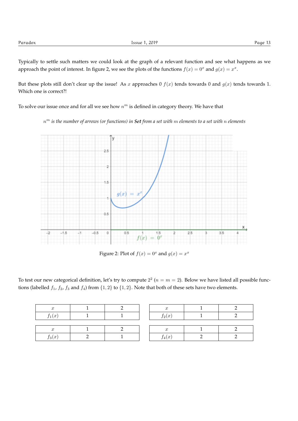Typically to settle such matters we could look at the graph of a relevant function and see what happens as we approach the point of interest. In figure 2, we see the plots of the functions  $f(x) = 0^x$  and  $g(x) = x^x$ .

But these plots still don't clear up the issue! As *x* approaches 0  $f(x)$  tends towards 0 and  $g(x)$  tends towards 1. Which one is correct?!

To solve our issue once and for all we see how *n<sup>m</sup>* is defined in category theory. We have that

*n<sup>m</sup> is the number of arrows (or functions) in Set from a set with m elements to a set with n elements*



Figure 2: Plot of  $f(x) = 0^x$  and  $g(x) = x^x$ 

To test our new categorical definition, let's try to compute  $2^2$  ( $n = m = 2$ ). Below we have listed all possible functions (labelled  $f_1$ ,  $f_2$ ,  $f_3$  and  $f_4$ ) from  $\{1,2\}$  to  $\{1,2\}$ . Note that both of these sets have two elements.

| $\boldsymbol{x}$ |  | $\mathbf{r}$          |  |
|------------------|--|-----------------------|--|
| $f_1(x)$         |  | e.<br>$f_2(x)$        |  |
|                  |  |                       |  |
| $\boldsymbol{x}$ |  | $\boldsymbol{x}$      |  |
| $f_3(x)$         |  | $\bullet$<br>$t_4(x)$ |  |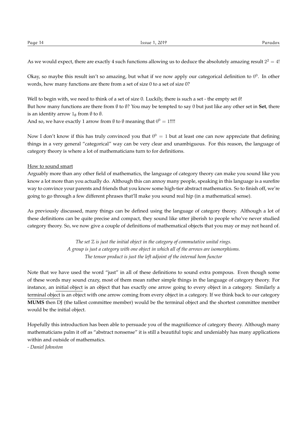As we would expect, there are exactly 4 such functions allowing us to deduce the absolutely amazing result  $2^2 = 4!$ 

Okay, so maybe this result isn't so amazing, but what if we now apply our categorical definition to  $0^0$ . In other words, how many functions are there from a set of size 0 to a set of size 0?

Well to begin with, we need to think of a set of size 0. Luckily, there is such a set - the empty set  $\emptyset!$ But how many functions are there from  $\emptyset$  to  $\emptyset$ ? You may be tempted to say 0 but just like any other set in **Set**, there is an identity arrow  $1_{\emptyset}$  from  $\emptyset$  to  $\emptyset$ .

And so, we have exactly 1 arrow from  $\emptyset$  to  $\emptyset$  meaning that  $0^0 = 1$ !!!!

Now I don't know if this has truly convinced you that  $0^0 = 1$  but at least one can now appreciate that defining things in a very general "categorical" way can be very clear and unambiguous. For this reason, the language of category theory is where a lot of mathematicians turn to for definitions.

#### How to sound smart

Arguably more than any other field of mathematics, the language of category theory can make you sound like you know a lot more than you actually do. Although this can annoy many people, speaking in this language is a surefire way to convince your parents and friends that you know some high-tier abstract mathematics. So to finish off, we're going to go through a few different phrases that'll make you sound real hip (in a mathematical sense).

As previously discussed, many things can be defined using the language of category theory. Although a lot of these definitions can be quite precise and compact, they sound like utter jiberish to people who've never studied category theory. So, we now give a couple of definitions of mathematical objects that you may or may not heard of.

> *The set* Z *is just the initial object in the category of commutative unital rings. A group is just a category with one object in which all of the arrows are isomorphisms. The tensor product is just the left adjoint of the internal hom functor*

Note that we have used the word "just" in all of these definitions to sound extra pompous. Even though some of these words may sound crazy, most of them mean rather simple things in the language of category theory. For instance, an initial object is an object that has exactly one arrow going to every object in a category. Similarly a terminal object is an object with one arrow coming from every object in a category. If we think back to our category **MUMS** then DJ (the tallest committee member) would be the terminal object and the shortest committee member would be the initial object.

Hopefully this introduction has been able to persuade you of the magnificence of category theory. Although many mathematicians palm it off as "abstract nonsense" it is still a beautiful topic and undeniably has many applications within and outside of mathematics.

*- Daniel Johnston*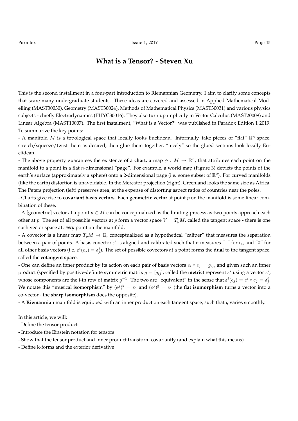### **What is a Tensor? - Steven Xu**

This is the second installment in a four-part introduction to Riemannian Geometry. I aim to clarify some concepts that scare many undergraduate students. These ideas are covered and assessed in Applied Mathematical Modelling (MAST30030), Geometry (MAST30024), Methods of Mathematical Physics (MAST30031) and various physics subjects - chiefly Electrodynamics (PHYC30016). They also turn up implicitly in Vector Calculus (MAST20009) and Linear Algebra (MAST10007). The first instalment, "What is a Vector?" was published in Paradox Edition 1 2019. To summarize the key points:

- A manifold *M* is a topological space that locally looks Euclidean. Informally, take pieces of "flat" R*<sup>n</sup>* space, stretch/squeeze/twist them as desired, then glue them together, "nicely" so the glued sections look locally Euclidean.

- The above property guarantees the existence of a **chart**, a map  $\phi : M \to \mathbb{R}^n$ , that attributes each point on the manifold to a point in a flat *n*-dimensional "page". For example, a world map (Figure 3) depicts the points of the earth's surface (approximately a sphere) onto a 2-dimensional page (i.e. some subset of  $\mathbb{R}^2$ ). For curved manifolds (like the earth) distortion is unavoidable. In the Mercator projection (right), Greenland looks the same size as Africa. The Peters projection (left) preserves area, at the expense of distorting aspect ratios of countries near the poles.

- Charts give rise to **covariant basis vectors**. Each **geometric vector** at point *p* on the manifold is some linear combination of these.

- A [geometric] vector at a point  $p \in M$  can be conceptualized as the limiting process as two points approach each other at *p*. The set of all possible vectors at *p* form a vector space  $V = T_p M$ , called the tangent space - there is one such vector space at *every* point on the manifold.

- A covector is a linear map  $T_pM \to \mathbb{R}$ , conceptualized as a hypothetical "caliper" that measures the separation between a pair of points. A basis covector  $\varepsilon^i$  is aligned and calibrated such that it measures "1" for  $e_i$ , and "0" for all other basis vectors (i.e.  $\varepsilon^i(e_j) = \delta^i_j$ ). The set of possible covectors at a point forms the **dual** to the tangent space, called the **cotangent space**.

- One can define an inner product by its action on each pair of basis vectors  $e_i \circ e_j = g_{ij}$ , and given such an inner product (specified by positive-definite symmetric matrix  $g = [g_{ij}]$ , called the **metric**) represent  $\varepsilon^i$  using a vector  $e^i$ , whose components are the i-th row of matrix  $g^{-1}$ . The two are "equivalent" in the sense that  $\varepsilon^i(e_j) = e^i \circ e_j = \delta^i_j$ . We notate this "musical isomorphism" by  $(e^{j})^{\flat} = \varepsilon^{j}$  and  $(\varepsilon^{j})^{\sharp} = e^{j}$  (the flat isomorphism turns a vector into a co-vector - the **sharp isomorphism** does the opposite).

- A **Riemannian** manifold is equipped with an inner product on each tangent space, such that *g* varies smoothly.

In this article, we will:

- Define the tensor product
- Introduce the Einstein notation for tensors
- Show that the tensor product and inner product transform covariantly (and explain what this means)
- Define k-forms and the exterior derivative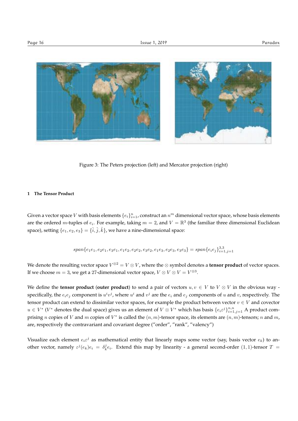

Figure 3: The Peters projection (left) and Mercator projection (right)

#### **1 The Tensor Product**

Given a vector space  $V$  with basis elements  $\{e_i\}_{i=1}^n$ , construct an  $n^m$  dimensional vector space, whose basis elements are the ordered *m*-tuples of  $e_i$ . For example, taking  $m = 2$ , and  $V = \mathbb{R}^3$  (the familiar three dimensional Euclidean space), setting  $\{e_1, e_2, e_3\} = \{\hat{i}, \hat{j}, \hat{k}\}$ , we have a nine-dimensional space:

$$
span\{e_1e_1, e_2e_1, e_3e_1, e_1e_2, e_2e_2, e_3e_2, e_1e_3, e_2e_3, e_3e_3\} = span\{e_ie_j\}_{i=1,j=1}^{3,3}
$$

We denote the resulting vector space  $V^{\otimes 2} = V \otimes V$ , where the  $\otimes$  symbol denotes a **tensor product** of vector spaces. If we choose  $m = 3$ , we get a 27-dimensional vector space,  $V \otimes V \otimes V = V^{\otimes 3}$ .

We define the **tensor product** (outer product) to send a pair of vectors  $u, v \in V$  to  $V \otimes V$  in the obvious way specifically, the  $e_ie_j$  component is  $u^iv^j$ , where  $u^i$  and  $v^j$  are the  $e_i$  and  $e_j$  components of  $u$  and  $v$ , respectively. The tensor product can extend to dissimilar vector spaces, for example the product between vector  $v \in V$  and covector  $u \in V^*$  ( $V^*$  denotes the dual space) gives us an element of  $V \otimes V^*$  which has basis  $\{e_i \varepsilon^j\}_{i=1,j=1}^{n,n}$  A product comprising *n* copies of *V* and *m* copies of  $V^*$  is called the  $(n, m)$ -tensor space, its elements are  $(n, m)$ -tensors; *n* and *m*, are, respectively the contravariant and covariant degree ("order", "rank", "valency")

Visualize each element  $e_i \varepsilon^j$  as mathematical entity that linearly maps some vector (say, basis vector  $e_k$ ) to another vector, namely  $\varepsilon^{j} (e_k)e_i = \delta^j_k e_i$ . Extend this map by linearity - a general second-order  $(1,1)$ -tensor  $T =$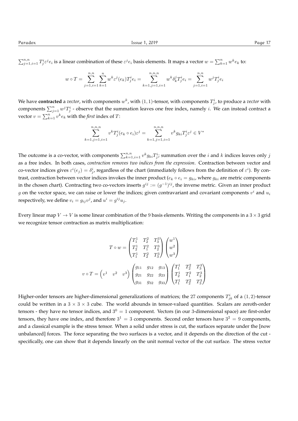$\sum_{j=1,i=1}^{n,n} T_j^i \varepsilon^j e_i$  is a linear combination of these  $\varepsilon^j e_i$  basis elements. It maps a vector  $w = \sum_{k=1}^{n} w^k e_k$  to:

$$
w \circ T = \sum_{j=1, i=1}^{n, n} \sum_{k=1}^{n} w^k \varepsilon^j(e_k) T_j^i e_i = \sum_{k=1, j=1, i=1}^{n, n, n} w^k \delta_k^j T_j^i e_i = \sum_{j=1, i=1}^{n, n} w^j T_j^i e_i
$$

We have **contracted** a *vector,* with components  $w^k$ , with  $(1,1)$ -tensor, with components  $T^i_j$ , to produce a *vector* with components  $\sum_{j=1}^n w^j T_j^i$  - observe that the summation leaves one free index, namely *i*. We can instead contract a vector  $v = \sum_{k=1}^{n} v^k e_k$  with the *first* index of *T*:

$$
\sum_{k=1, j=1, i=1}^{n, n, n} v^k T_j^i (e_k \circ e_i) \varepsilon^j = \sum_{k=1, j=1, i=1}^{n, n, n} v^k g_{ki} T_j^i \varepsilon^j \in V^*
$$

The outcome is a co-vector, with components  $\sum_{k=1,i=1}^{n,n} v^k g_{ki} T^i_j$ ; summation over the *i* and *k* indices leaves only *j* as a free index. In both cases, *contraction removes two indices from the expression*. Contraction between vector and co-vector indices gives  $\varepsilon^i(e_j) = \delta^i_j$ , regardless of the chart (immediately follows from the definition of  $\varepsilon^i$ ). By contrast, contraction between vector indices invokes the inner product ( $e_k \circ e_i = g_{ki}$ , where  $g_{ki}$  are metric components in the chosen chart). Contracting two co-vectors inserts  $g^{ij} := (g^{-1})^{ij}$ , the inverse metric. Given an inner product *g* on the vector space, we can raise or lower the indices; given contravariant and covariant components *v<sup>i</sup>* and *u<sup>i</sup>* respectively, we define  $v_i = g_{ij}v^j$ , and  $u^i = g^{ij}u_j$ .

Every linear map  $V \to V$  is some linear combination of the 9 basis elements. Writing the components in a  $3 \times 3$  grid we recognize tensor contraction as matrix multiplication:

$$
T \circ w = \begin{pmatrix} T_1^1 & T_2^2 & T_3^3 \\ T_2^1 & T_1^2 & T_2^3 \\ T_1^1 & T_2^2 & T_3^3 \end{pmatrix} \begin{pmatrix} w^1 \\ w^2 \\ w^3 \end{pmatrix}
$$

$$
v \circ T = \begin{pmatrix} v^1 & v^2 & v^3 \end{pmatrix} \begin{pmatrix} g_{11} & g_{12} & g_{13} \\ g_{21} & g_{22} & g_{23} \\ g_{31} & g_{32} & g_{33} \end{pmatrix} \begin{pmatrix} T_1^1 & T_2^2 & T_3^3 \\ T_2^1 & T_1^2 & T_3^3 \\ T_1^1 & T_2^2 & T_3^3 \end{pmatrix}
$$

Higher-order tensors are higher-dimensional generalizations of matrices; the 27 components  $T^i_{jk}$  of a  $(1,2)$ -tensor could be written in a  $3 \times 3 \times 3$  cube. The world abounds in tensor-valued quantities. Scalars are zeroth-order tensors - they have no tensor indices, and  $3^0 = 1$  component. Vectors (in our 3-dimensional space) are first-order tensors, they have one index, and therefore  $3^1 = 3$  components. Second order tensors have  $3^2 = 9$  components, and a classical example is the stress tensor. When a solid under stress is cut, the surfaces separate under the [now unbalanced] forces. The force separating the two surfaces is a vector, and it depends on the direction of the cut specifically, one can show that it depends linearly on the unit normal vector of the cut surface. The stress vector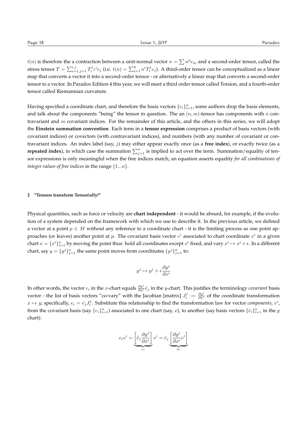*t*(*n*) is therefore the a contraction between a unit-normal vector  $n = \sum n^k e_k$ , and a second-order tensor, called the stress tensor  $T=\sum_{i=1,j=1}^{i,j}T_i^je^ie_j$  (i.e.  $t(n)=\sum_{i=1}^3n^iT_i^je_j$ ). A third-order tensor can be conceptualized as a linear map that converts a vector it into a second-order tensor - or alternatively a linear map that converts a second-order tensor to a vector. In Paradox Edition 4 this year, we will meet a third order tensor called Torsion, and a fourth-order tensor called Riemannian curvature.

Having specified a coordinate chart, and therefore the basis vectors  $\{e_i\}_{i=1}^n$ , some authors drop the basis elements, and talk about the components "being" the tensor in question. The an  $(n, m)$ -tensor has components with *n* contravariant and *m* covariant indices. For the remainder of this article, and the others in this series, we will adopt the **Einstein summation convention**. Each term in a **tensor expression** comprises a product of basis vectors (with covariant indices) or covectors (with contravariant indices), and numbers (with any number of covariant or contravariant indices. An index label (say, *j*) may either appear exactly once (as a **free index**), or exactly twice (as a **repeated index**), in which case the summation  $\sum_{j=1}^{n}$  is implied to act over the term. Summation/equality of tensor expressions is only meaningful when the free indices match; an equation asserts equality *for all combinations of integer values of free indices* in the range *{*1*...n}*.

#### **2 "Tensors transform Tensorially!"**

Physical quantities, such as force or velocity are **chart independent** - it would be absurd, for example, if the evolution of a system depended on the framework with which we use to describe it. In the previous article, we defined a vector at a point  $p \in M$  without any reference to a coordinate chart - it is the limiting process as one point approaches (or leaves) another point at *p*. The covariant basis vector  $e^i$  associated to chart coordinate  $x^i$  in a given chart  $x = \{x^i\}_{i=1}^n$  by moving the point thus: hold all coordinates except  $x^i$  fixed, and vary  $x^i \mapsto x^i + \epsilon$ . In a different chart, say  $y = \{y^j\}_{j=1}^n$  the same point moves from coordinates  $\{y^j\}_{j=1}^n$  to:

$$
y^j\mapsto y^j+\epsilon\frac{\partial y^j}{\partial x^i}
$$

In other words, the vector  $e_i$  in the *x*-chart equals  $\frac{\partial y^j}{\partial x^i}\tilde{e}_j$  in the *y*-chart. This justifies the terminology *covariant* basis vector - the list of basis vectors "co-vary" with the Jacobian [matrix]  $J_i^j := \frac{\partial y^j}{\partial x^i}$  of the coordinate transformation  $x \mapsto y$ ; specifically,  $e_i = \tilde{e}_j J_i^j$ . Substitute this relationship to find the transformation law for vector *components*,  $v^i$ , from the covariant basis (say  $\{e_i\}_{i=1}^n$ ) associated to one chart (say, *x*), to another (say basis vectors  $\{\tilde{e}_i\}_{i=1}^n$  in the *y* chart):

$$
e_iv^i=\underbrace{\left[\tilde{e}_j\frac{\partial y^j}{\partial x^i}\right]}_{e_i}v^i=\tilde{e}_j\underbrace{\left[\frac{\partial y^j}{\partial x^i}v^i\right]}_{\tilde{v}^j}
$$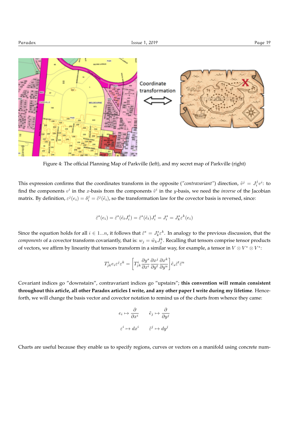

Figure 4: The official Planning Map of Parkville (left), and my secret map of Parkville (right)

This expression confirms that the coordinates transform in the opposite (*"contravariant"*) direction,  $\tilde{v}^j = J_i^j v^i$ : to find the components  $v^i$  in the *x*-basis from the components  $\tilde{v}^i$  in the *y*-basis, we need the *inverse* of the Jacobian matrix. By definition,  $\varepsilon^j(e_i) = \delta_i^j = \tilde{\varepsilon}^j(\tilde{e}_i)$ , so the transformation law for the covector basis is reversed, since:

$$
\tilde{\varepsilon}^s(e_i)=\tilde{\varepsilon}^s(\tilde{e}_tJ_i^t)=\tilde{\varepsilon}^s(\tilde{e}_t)J_i^t=J_i^s=J_k^s\varepsilon^k(e_i)
$$

Since the equation holds for all  $i \in 1...n$ , it follows that  $\tilde{\varepsilon}^s = J_k^s \varepsilon^k$ . In analogy to the previous discussion, that the *components* of a covector transform covariantly, that is:  $w_j = \tilde{w}_k J_j^k$ . Recalling that tensors comprise tensor products of vectors, we affirm by linearity that tensors transform in a similar way, for example, a tensor in  $V \otimes V^* \otimes V^*$ :

$$
T^i_{jk}e_i\varepsilon^j\varepsilon^k=\bigg[T^i_{jk}\frac{\partial y^s}{\partial x^i}\frac{\partial x^j}{\partial y^t}\frac{\partial x^k}{\partial y^u}\bigg]\tilde{e}_s\tilde{\varepsilon}^t\tilde{\varepsilon}^u
$$

Covariant indices go "downstairs", contravariant indices go "upstairs"; **this convention will remain consistent throughout this article, all other Paradox articles I write, and any other paper I write during my lifetime**. Henceforth, we will change the basis vector and covector notation to remind us of the charts from whence they came:

$$
e_i \mapsto \frac{\partial}{\partial x^i} \qquad \tilde{e}_j \mapsto \frac{\partial}{\partial y^j}
$$
  

$$
\varepsilon^i \mapsto dx^i \qquad \tilde{\varepsilon}^j \mapsto dy^j
$$

Charts are useful because they enable us to specify regions, curves or vectors on a manifold using concrete num-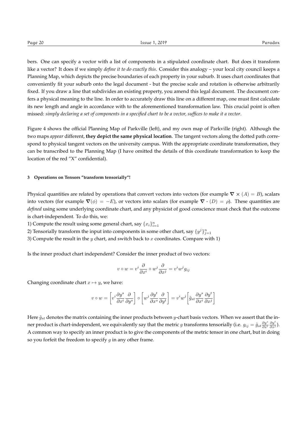bers. One can specify a vector with a list of components in a stipulated coordinate chart. But does it transform like a vector? It does if we simply *define it to do exactly this*. Consider this analogy – your local city council keeps a Planning Map, which depicts the precise boundaries of each property in your suburb. It uses chart coordinates that conveniently fit your suburb onto the legal document - but the precise scale and rotation is otherwise arbitrarily fixed. If you draw a line that subdivides an existing property, you amend this legal document. The document confers a physical meaning to the line. In order to accurately draw this line on a different map, one must first calculate its new length and angle in accordance with to the aforementioned transformation law. This crucial point is often missed: *simply declaring a set of components in a specified chart to be a vector, suffices to make it a vector*.

Figure 4 shows the official Planning Map of Parkville (left), and my own map of Parkville (right). Although the two maps *appear* different, **they depict the same physical location**. The tangent vectors along the dotted path correspond to physical tangent vectors on the university campus. With the appropriate coordinate transformation, they can be transcribed to the Planning Map (I have omitted the details of this coordinate transformation to keep the location of the red "X" confidential).

#### **3 Operations on Tensors "transform tensorially"!**

Physical quantities are related by operations that convert vectors into vectors (for example  $\nabla \times (A) = B$ ), scalars into vectors (for example  $\nabla(\phi) = -E$ ), or vectors into scalars (for example  $\nabla \cdot (D) = \rho$ ). These quantities are *defined* using some underlying coordinate chart, and any physicist of good conscience must check that the outcome is chart-independent. To do this, we:

1) Compute the result using some general chart, say  $\{x_i\}_{i=1}^n$ 

2) Tensorially transform the input into components in some other chart, say  $\{y^j\}_{j=1}^n$ 

3) Compute the result in the *y* chart, and switch back to *x* coordinates. Compare with 1)

Is the inner product chart independent? Consider the inner product of two vectors:

$$
v \circ w = v^i \frac{\partial}{\partial x^i} \circ w^j \frac{\partial}{\partial x^j} = v^i w^j g_{ij}
$$

Changing coordinate chart  $x \mapsto y$ , we have:

$$
v \circ w = \left[ v^i \frac{\partial y^s}{\partial x^i} \frac{\partial}{\partial y^s} \right] \circ \left[ w^j \frac{\partial y^t}{\partial x^s} \frac{\partial}{\partial y^t} \right] = v^i w^j \left[ \tilde{g}_{st} \frac{\partial y^s}{\partial x^i} \frac{\partial y^t}{\partial x^j} \right]
$$

Here  $\tilde{g}_{st}$  denotes the matrix containing the inner products between *y*-chart basis vectors. When we assert that the inner product is chart-independent, we equivalently say that the metric *g* transforms tensorially (i.e.  $g_{ij} = \tilde{g}_{st} \frac{\partial y^s}{\partial x^i} \frac{\partial y^t}{\partial x^j}$ ). A common way to specify an inner product is to give the components of the metric tensor in one chart, but in doing so you forfeit the freedom to specify *g* in any other frame.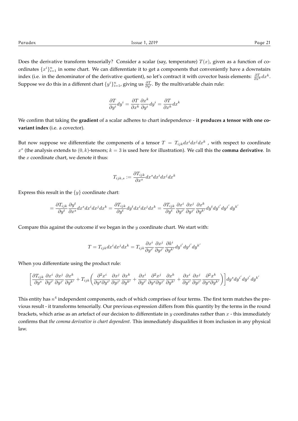Does the derivative transform tensorially? Consider a scalar (say, temperature)  $T(x)$ , given as a function of coordinates  $\{x^i\}_{i=1}^n$  in some chart. We can differentiate it to get a components that conveniently have a downstairs index (i.e. in the denominator of the derivative quotient), so let's contract it with covector basis elements:  $\frac{\partial T}{\partial x^k}dx^k$ . Suppose we do this in a different chart  $\{y^i\}_{i=1}^n$ , giving us  $\frac{\partial T}{\partial y^i}$ . By the multivariable chain rule:

$$
\frac{\partial T}{\partial y^i} dy^i = \frac{\partial T}{\partial x^k} \frac{\partial x^k}{\partial y^i} dy^i = \frac{\partial T}{\partial x^k} dx^k
$$

We confirm that taking the **gradient** of a scalar adheres to chart independence - **it produces a tensor with one covariant index** (i.e. a covector).

But now suppose we differentiate the components of a tensor  $T\,=\,T_{ijk}dx^idx^jdx^k$  , with respect to coordinate  $x<sup>s</sup>$  (the analysis extends to  $(0, k)$ -tensors;  $k = 3$  is used here for illustration). We call this the **comma derivative**. In the *x* coordinate chart, we denote it thus:

$$
T_{ijk,s}:=\frac{\partial T_{ijk}}{\partial x^s}dx^s dx^i dx^j dx^k
$$

Express this result in the  $\{y\}$  coordinate chart:

$$
=\frac{\partial T_{ijk}}{\partial y^t}\frac{\partial y^t}{\partial x^s}dx^s dx^i dx^j dx^k=\frac{\partial T_{ijk}}{\partial y^t}dy^t dx^i dx^j dx^k=\frac{\partial T_{ijk}}{\partial y^t}\frac{\partial x^i}{\partial y^{i'}}\frac{\partial x^j}{\partial y^{j'}}\frac{\partial x^k}{\partial y^{k'}}dy^t dy^{i'} dy^{j'} dy^{k'}
$$

Compare this against the outcome if we began in the *y* coordinate chart. We start with:

$$
T = T_{ijk}dx^{i}dx^{j}dx^{k} = T_{ijk}\frac{\partial x^{i}}{\partial y^{i'}}\frac{\partial x^{j}}{\partial y^{j'}}\frac{\partial k^{i}}{\partial y^{k'}}dy^{i'}dy^{j'}dy^{k'}
$$

When you differentiate using the product rule:

$$
\bigg[\frac{\partial T_{ijk}}{\partial y^s}\frac{\partial x^i}{\partial y^{i'}}\frac{\partial x^j}{\partial y^{j'}}\frac{\partial x^k}{\partial y^{k'}}+T_{ijk}\bigg(\frac{\partial^2 x^i}{\partial y^s\partial y^{i'}}\frac{\partial x^j}{\partial y^{j'}}\frac{\partial x^k}{\partial y^{k'}}+\frac{\partial x^i}{\partial y^{i'}}\frac{\partial^2 x^j}{\partial y^s\partial y^{j'}}\frac{\partial x^k}{\partial y^{k'}}+\frac{\partial x^i}{\partial y^{i'}}\frac{\partial x^j}{\partial y^{j'}}\frac{\partial^2 x^k}{\partial y^s\partial y^{k'}}\bigg)\bigg]dy^s dy^{i'}dy^{j'}dy^{k'}
$$

This entity has  $n^4$  independent components, each of which comprises of four terms. The first term matches the previous result - it transforms tensorially. Our previous expression differs from this quantity by the terms in the round brackets, which arise as an artefact of our decision to differentiate in *y* coordinates rather than *x* - this immediately confirms that *the comma derivative is chart dependent*. This immediately disqualifies it from inclusion in any physical law.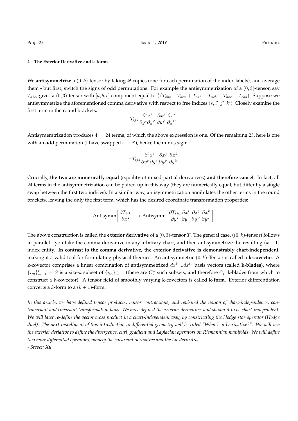#### **4 The Exterior Derivative and k-forms**

We **antisymmetrize** a  $(0, k)$ -tensor by taking k! copies (one for each permutation of the index labels), and average them - but first, switch the signs of odd permutations. For example the antisymmetrization of a (0*,* 3)-tensor, say  $T_{abc}$ , gives a  $(0,3)$ -tensor with  $[a,b,c]$  component equal to  $\frac{1}{6}(T_{abc}+T_{bca}+T_{cab}-T_{acb}-T_{bac}-T_{cba})$ . Suppose we antisymmetrize the aforementioned comma derivative with respect to free indices  $(s, i', j', k')$ . Closely examine the first term in the round brackets:

$$
T_{ijk}\frac{\partial^2 x^i}{\partial y^s\partial y^{i'}}\frac{\partial x^j}{\partial y^{j'}}\frac{\partial x^k}{\partial y^{k'}}
$$

Antisymemtrization produces  $4! = 24$  terms, of which the above expression is one. Of the remaining 23, here is one with an **odd** permutation (I have swapped  $s \leftrightarrow i'$ ), hence the minus sign:

$$
-T_{ijk}\frac{\partial^2 x^i}{\partial y^{i'}\partial y^s}\frac{\partial x^j}{\partial y^{j'}}\frac{\partial x^k}{\partial y^{k'}}
$$

Crucially, **the two are numerically equal** (equality of mixed partial derivatives) **and therefore cancel**. In fact, all 24 terms in the antisymmetrization can be paired up in this way (they are numerically equal, but differ by a single swap between the first two indices). In a similar way, antisymmetrization annihilates the other terms in the round brackets, leaving the only the first term, which has the desired coordinate transformation properties:

Antisymm
$$
\left[\frac{\partial T_{ijk}}{\partial x^s}\right] \rightarrow \text{Antisymm}\left[\frac{\partial T_{ijk}}{\partial y^s} \frac{\partial x^i}{\partial y^{i'}} \frac{\partial x^j}{\partial y^{j'}} \frac{\partial x^k}{\partial y^{k'}}\right]
$$

The above construction is called the **exterior derivative** of a (0*,* 3)-tensor *T*. The general case, ((0*, k*)-tensor) follows in parallel - you take the comma derivative in any arbitrary chart, and then antisymmetrize the resulting  $(k + 1)$ index entity. **In contrast to the comma derivative, the exterior derivative is demonstrably chart-independent**, making it a valid tool for formulating physical theories. An antisymmetric (0*, k*)-Tensor is called a **k-covector**. A k-covector comprises a linear combination of antisymmetrized *dx<sup>i</sup>*<sup>1</sup> *...dx<sup>i</sup><sup>k</sup>* basis vectors (called **k-blades**), where  $\{i_m\}_{m=1}^k = S$  is a size-k subset of  $\{i_m\}_{m=1}^n$  (there are  $C_k^n$  such subsets, and therefore  $C_k^n$  k-blades from which to construct a k-covector). A tensor field of smoothly varying k-covectors is called **k-form**. Exterior differentiation converts a *k*-form to a  $(k + 1)$ -form.

*In this article, we have defined tensor products, tensor contractions, and revisited the notion of chart-independence, contravariant and covariant transformation laws. We have defined the exterior derivative, and shown it to be chart-independent. We will later re-define the vector cross product in a chart-independent way, by constructing the Hodge star operator (Hodge dual). The next installment of this introduction to differential geometry will be titled "What is a Derivative?". We will use the exterior deriative to define the divergence, curl, gradient and Laplacian operators on Riemannian manifolds. We will define two more differential operators, namely the covariant derivative and the Lie derivative. - Steven Xu*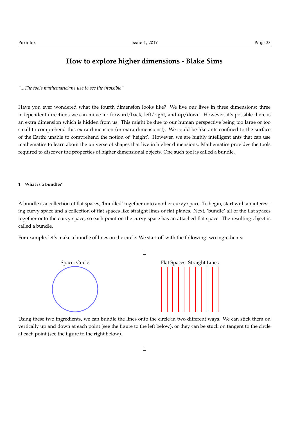## **How to explore higher dimensions - Blake Sims**

*"...The tools mathematicians use to see the invisible"*

Have you ever wondered what the fourth dimension looks like? We live our lives in three dimensions; three independent directions we can move in: forward/back, left/right, and up/down. However, it's possible there is an extra dimension which is hidden from us. This might be due to our human perspective being too large or too small to comprehend this extra dimension (or extra dimensions!). We could be like ants confined to the surface of the Earth; unable to comprehend the notion of 'height'. However, we are highly intelligent ants that can use mathematics to learn about the universe of shapes that live in higher dimensions. Mathematics provides the tools required to discover the properties of higher dimensional objects. One such tool is called a bundle.

#### **1 What is a bundle?**

A bundle is a collection of flat spaces, 'bundled' together onto another curvy space. To begin, start with an interesting curvy space and a collection of flat spaces like straight lines or flat planes. Next, 'bundle' all of the flat spaces together onto the curvy space, so each point on the curvy space has an attached flat space. The resulting object is called a bundle.

For example, let's make a bundle of lines on the circle. We start off with the following two ingredients:



Using these two ingredients, we can bundle the lines onto the circle in two different ways. We can stick them on vertically up and down at each point (see the figure to the left below), or they can be stuck on tangent to the circle at each point (see the figure to the right below).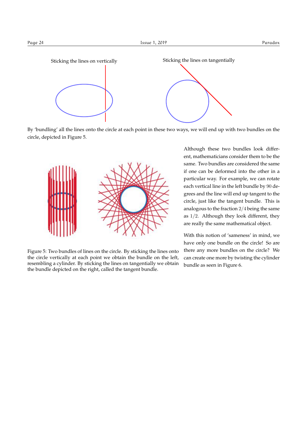

By 'bundling' all the lines onto the circle at each point in these two ways, we will end up with two bundles on the circle, depicted in Figure 5.



Figure 5: Two bundles of lines on the circle. By sticking the lines onto the circle vertically at each point we obtain the bundle on the left, resembling a cylinder. By sticking the lines on tangentially we obtain the bundle depicted on the right, called the tangent bundle.

Although these two bundles look different, mathematicians consider them to be the same. Two bundles are considered the same if one can be deformed into the other in a particular way. For example, we can rotate each vertical line in the left bundle by 90 degrees and the line will end up tangent to the circle, just like the tangent bundle. This is analogous to the fraction 2*/*4 being the same as 1*/*2. Although they look different, they are really the same mathematical object.

With this notion of 'sameness' in mind, we have only one bundle on the circle! So are there any more bundles on the circle? We can create one more by twisting the cylinder bundle as seen in Figure 6.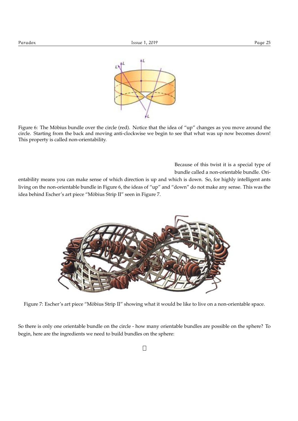

Figure 6: The Möbius bundle over the circle (red). Notice that the idea of "up" changes as you move around the circle. Starting from the back and moving anti-clockwise we begin to see that what was up now becomes down! This property is called non-orientability.

> Because of this twist it is a special type of bundle called a non-orientable bundle. Ori-

entability means you can make sense of which direction is up and which is down. So, for highly intelligent ants living on the non-orientable bundle in Figure 6, the ideas of "up" and "down" do not make any sense. This was the idea behind Escher's art piece "Möbius Strip II" seen in Figure 7.



Figure 7: Escher's art piece "Möbius Strip II" showing what it would be like to live on a non-orientable space.

So there is only one orientable bundle on the circle - how many orientable bundles are possible on the sphere? To begin, here are the ingredients we need to build bundles on the sphere: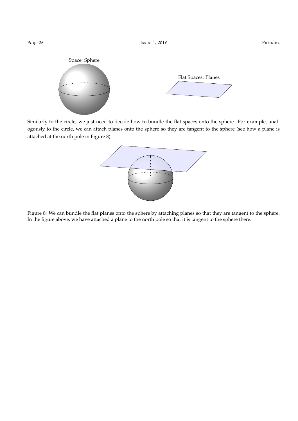

Similarly to the circle, we just need to decide how to bundle the flat spaces onto the sphere. For example, analogously to the circle, we can attach planes onto the sphere so they are tangent to the sphere (see how a plane is attached at the north pole in Figure 8).



Figure 8: We can bundle the flat planes onto the sphere by attaching planes so that they are tangent to the sphere. In the figure above, we have attached a plane to the north pole so that it is tangent to the sphere there.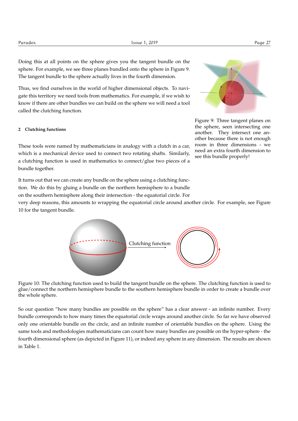Doing this at all points on the sphere gives you the tangent bundle on the sphere. For example, we see three planes bundled onto the sphere in Figure 9. The tangent bundle to the sphere actually lives in the fourth dimension.

Thus, we find ourselves in the world of higher dimensional objects. To navigate this territory we need tools from mathematics. For example, if we wish to know if there are other bundles we can build on the sphere we will need a tool called the clutching function.

#### **2 Clutching functions**

These tools were named by mathematicians in analogy with a clutch in a car, which is a mechanical device used to connect two rotating shafts. Similarly, a clutching function is used in mathematics to connect/glue two pieces of a bundle together.



Figure 9: Three tangent planes on the sphere, seen intersecting one another. They intersect one another because there is not enough room in three dimensions - we need an extra fourth dimension to see this bundle properly!

It turns out that we can create any bundle on the sphere using a clutching function. We do this by gluing a bundle on the northern hemisphere to a bundle on the southern hemisphere along their intersection - the equatorial circle. For

very deep reasons, this amounts to wrapping the equatorial circle around another circle. For example, see Figure 10 for the tangent bundle.



Figure 10: The clutching function used to build the tangent bundle on the sphere. The clutching function is used to glue/connect the northern hemisphere bundle to the southern hemisphere bundle in order to create a bundle over the whole sphere.

So our question "how many bundles are possible on the sphere" has a clear answer - an infinite number. Every bundle corresponds to how many times the equatorial circle wraps around another circle. So far we have observed only one orientable bundle on the circle, and an infinite number of orientable bundles on the sphere. Using the same tools and methodologies mathematicians can count how many bundles are possible on the hyper-sphere - the fourth dimensional sphere (as depicted in Figure 11), or indeed any sphere in any dimension. The results are shown in Table 1.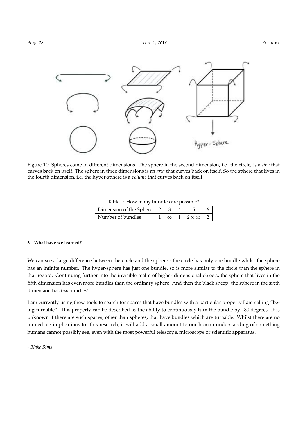

Figure 11: Spheres come in different dimensions. The sphere in the second dimension, i.e. the circle, is a *line* that curves back on itself. The sphere in three dimensions is an *area* that curves back on itself. So the sphere that lives in the fourth dimension, i.e. the hyper-sphere is a *volume* that curves back on itself.

| Table 1: How many bundles are possible? |  |  |
|-----------------------------------------|--|--|
|-----------------------------------------|--|--|

| Dimension of the Sphere $\vert 2 \vert$ |  |                   |  |
|-----------------------------------------|--|-------------------|--|
| Number of bundles                       |  | $2 \times \infty$ |  |

#### **3 What have we learned?**

We can see a large difference between the circle and the sphere - the circle has only one bundle whilst the sphere has an infinite number. The hyper-sphere has just one bundle, so is more similar to the circle than the sphere in that regard. Continuing further into the invisible realm of higher dimensional objects, the sphere that lives in the fifth dimension has even more bundles than the ordinary sphere. And then the black sheep: the sphere in the sixth dimension has *two* bundles!

I am currently using these tools to search for spaces that have bundles with a particular property I am calling "being turnable". This property can be described as the ability to continuously turn the bundle by 180 degrees. It is unknown if there are such spaces, other than spheres, that have bundles which are turnable. Whilst there are no immediate implications for this research, it will add a small amount to our human understanding of something humans cannot possibly see, even with the most powerful telescope, microscope or scientific apparatus.

*- Blake Sims*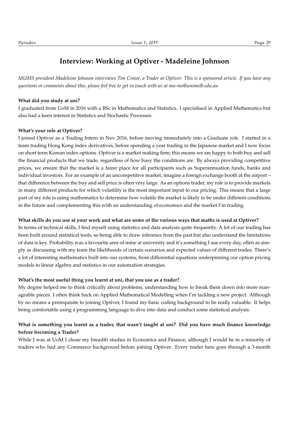## **Interview: Working at Optiver - Madeleine Johnson**

*MUMS president Madeleine Johnson interviews Tim Crowe, a Trader at Optiver. This is a sponsored article. If you have any questions or comments about this, please feel free to get in touch with us at mu-ms@unimelb.edu.au*

#### **What did you study at uni?**

I graduated from UoM in 2016 with a BSc in Mathematics and Statistics. I specialised in Applied Mathematics but also had a keen interest in Statistics and Stochastic Processes.

#### **What's your role at Optiver?**

I joined Optiver as a Trading Intern in Nov 2016, before moving immediately into a Graduate role. I started in a team trading Hong Kong index derivatives, before spending a year trading in the Japanese market and I now focus on short term Korean index options. Optiver is a market making firm; this means we are happy to both buy and sell the financial products that we trade, regardless of how busy the conditions are. By always providing competitive prices, we ensure that the market is a fairer place for all participants such as Superannuation funds, banks and individual investors. For an example of an uncompetitive market, imagine a foreign exchange booth at the airport – that difference between the buy and sell price is often very large. As an options trader, my role is to provide markets in many different products for which volatility is the most important input to our pricing. This means that a large part of my role is using mathematics to determine how volatile the market is likely to be under different conditions in the future and complementing this with an understanding of economics and the market I'm trading.

#### **What skills do you use at your work and what are some of the various ways that maths is used at Optiver?**

In terms of technical skills, I find myself using statistics and data analysis quite frequently. A lot of our trading has been built around statistical tools, so being able to draw inference from the past but also understand the limitations of data is key. Probability was a favourite area of mine at university and it's something I use every day, often as simply as discussing with my team the likelihoods of certain scenarios and expected values of different trades. There's a lot of interesting mathematics built into our systems, from differential equations underpinning our option pricing models to linear algebra and statistics in our automation strategies.

#### **What's the most useful thing you learnt at uni, that you use as a trader?**

My degree helped me to think critically about problems, understanding how to break them down into more manageable pieces. I often think back on Applied Mathematical Modelling when I'm tackling a new project. Although by no means a prerequisite to joining Optiver, I found my basic coding background to be really valuable. It helps being comfortable using a programming language to dive into data and conduct some statistical analysis.

### **What is something you learnt as a trader, that wasn't taught at uni? Did you have much finance knowledge before becoming a Trader?**

While I was at UoM I chose my breadth studies in Economics and Finance, although I would be in a minority of traders who had any Commerce background before joining Optiver. Every trader here goes through a 3-month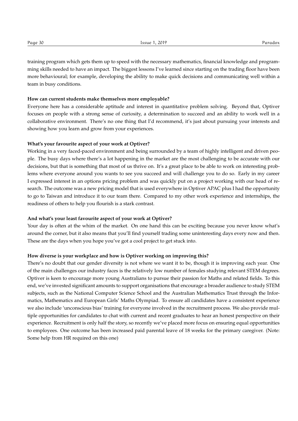training program which gets them up to speed with the necessary mathematics, financial knowledge and programming skills needed to have an impact. The biggest lessons I've learned since starting on the trading floor have been more behavioural; for example, developing the ability to make quick decisions and communicating well within a team in busy conditions.

#### **How can current students make themselves more employable?**

Everyone here has a considerable aptitude and interest in quantitative problem solving. Beyond that, Optiver focuses on people with a strong sense of curiosity, a determination to succeed and an ability to work well in a collaborative environment. There's no one thing that I'd recommend, it's just about pursuing your interests and showing how you learn and grow from your experiences.

#### **What's your favourite aspect of your work at Optiver?**

Working in a very faced-paced environment and being surrounded by a team of highly intelligent and driven people. The busy days where there's a lot happening in the market are the most challenging to be accurate with our decisions, but that is something that most of us thrive on. It's a great place to be able to work on interesting problems where everyone around you wants to see you succeed and will challenge you to do so. Early in my career I expressed interest in an options pricing problem and was quickly put on a project working with our head of research. The outcome was a new pricing model that is used everywhere in Optiver APAC plus I had the opportunity to go to Taiwan and introduce it to our team there. Compared to my other work experience and internships, the readiness of others to help you flourish is a stark contrast.

#### **And what's your least favourite aspect of your work at Optiver?**

Your day is often at the whim of the market. On one hand this can be exciting because you never know what's around the corner, but it also means that you'll find yourself trading some uninteresting days every now and then. These are the days when you hope you've got a cool project to get stuck into.

#### **How diverse is your workplace and how is Optiver working on improving this?**

There's no doubt that our gender diversity is not where we want it to be, though it is improving each year. One of the main challenges our industry faces is the relatively low number of females studying relevant STEM degrees. Optiver is keen to encourage more young Australians to pursue their passion for Maths and related fields. To this end, we've invested significant amounts to support organisations that encourage a broader audience to study STEM subjects, such as the National Computer Science School and the Australian Mathematics Trust through the Informatics, Mathematics and European Girls' Maths Olympiad. To ensure all candidates have a consistent experience we also include 'unconscious bias' training for everyone involved in the recruitment process. We also provide multiple opportunities for candidates to chat with current and recent graduates to hear an honest perspective on their experience. Recruitment is only half the story, so recently we've placed more focus on ensuring equal opportunities to employees. One outcome has been increased paid parental leave of 18 weeks for the primary caregiver. (Note: Some help from HR required on this one)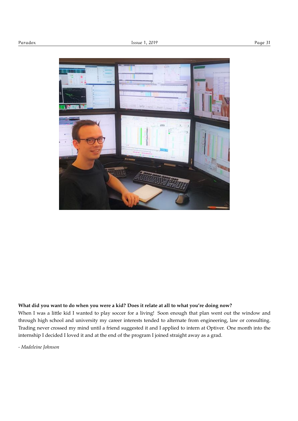

#### **What did you want to do when you were a kid? Does it relate at all to what you're doing now?**

When I was a little kid I wanted to play soccer for a living! Soon enough that plan went out the window and through high school and university my career interests tended to alternate from engineering, law or consulting. Trading never crossed my mind until a friend suggested it and I applied to intern at Optiver. One month into the internship I decided I loved it and at the end of the program I joined straight away as a grad.

*- Madeleine Johnson*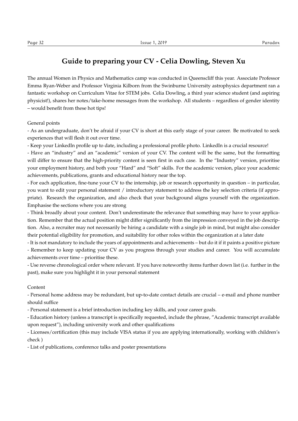### **Guide to preparing your CV - Celia Dowling, Steven Xu**

The annual Women in Physics and Mathematics camp was conducted in Queenscliff this year. Associate Professor Emma Ryan-Weber and Professor Virginia Kilborn from the Swinburne University astrophysics department ran a fantastic workshop on Curriculum Vitae for STEM jobs. Celia Dowling, a third year science student (and aspiring physicist!), shares her notes/take-home messages from the workshop. All students – regardless of gender identity – would benefit from these hot tips!

General points

- As an undergraduate, don't be afraid if your CV is short at this early stage of your career. Be motivated to seek experiences that will flesh it out over time.

- Keep your LinkedIn profile up to date, including a professional profile photo. LinkedIn is a crucial resource!

- Have an "industry" and an "academic" version of your CV. The content will be the same, but the formatting will differ to ensure that the high-priority content is seen first in each case. In the "Industry" version, prioritise your employment history, and both your "Hard" and "Soft" skills. For the academic version, place your academic achievements, publications, grants and educational history near the top.

- For each application, fine-tune your CV to the internship, job or research opportunity in question – in particular, you want to edit your personal statement / introductory statement to address the key selection criteria (if appropriate). Research the organization, and also check that your background aligns yourself with the organization. Emphasise the sections where you are strong

- Think broadly about your content. Don't underestimate the relevance that something may have to your application. Remember that the actual position might differ significantly from the impression conveyed in the job description. Also, a recruiter may not necessarily be hiring a candidate with a single job in mind, but might also consider their potential eligibility for promotion, and suitability for other roles within the organization at a later date

- It is not mandatory to include the years of appointments and achievements – but do it if it paints a positive picture - Remember to keep updating your CV as you progress through your studies and career. You will accumulate achievements over time – prioritise these.

- Use reverse chronological order where relevant. If you have noteworthy items further down list (i.e. further in the past), make sure you highlight it in your personal statement

#### Content

- Personal home address may be redundant, but up-to-date contact details are crucial – e-mail and phone number should suffice

- Personal statement is a brief introduction including key skills, and your career goals.

- Education history (unless a transcript is specifically requested, include the phrase, "Academic transcript available upon request"), including university work and other qualifications

- Licenses/certification (this may include VISA status if you are applying internationally, working with children's check )

- List of publications, conference talks and poster presentations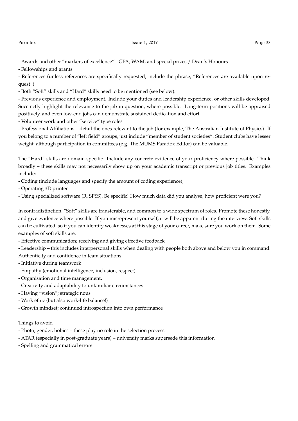- Fellowships and grants

- References (unless references are specifically requested, include the phrase, "References are available upon request")

- Both "Soft" skills and "Hard" skills need to be mentioned (see below).

- Previous experience and employment. Include your duties and leadership experience, or other skills developed. Succinctly highlight the relevance to the job in question, where possible. Long-term positions will be appraised positively, and even low-end jobs can demonstrate sustained dedication and effort

- Volunteer work and other "service" type roles

- Professional Affiliations – detail the ones relevant to the job (for example, The Australian Institute of Physics). If you belong to a number of "left field" groups, just include "member of student societies". Student clubs have lesser weight, although participation in committees (e.g. The MUMS Paradox Editor) can be valuable.

The "Hard" skills are domain-specific. Include any concrete evidence of your proficiency where possible. Think broadly – these skills may not necessarily show up on your academic transcript or previous job titles. Examples include:

- Coding (include languages and specify the amount of coding experience),

- Operating 3D printer

- Using specialized software (R, SPSS). Be specific! How much data did you analyse, how proficient were you?

In contradistinction, "Soft" skills are transferable, and common to a wide spectrum of roles. Promote these honestly, and give evidence where possible. If you misrepresent yourself, it will be apparent during the interview. Soft skills can be cultivated, so if you can identify weaknesses at this stage of your career, make sure you work on them. Some examples of soft skills are:

- Effective communication; receiving and giving effective feedback

- Leadership – this includes interpersonal skills when dealing with people both above and below you in command. Authenticity and confidence in team situations

- Initiative during teamwork
- Empathy (emotional intelligence, inclusion, respect)
- Organisation and time management,
- Creativity and adaptability to unfamiliar circumstances
- Having "vision"; strategic nous
- Work ethic (but also work-life balance!)
- Growth mindset; continued introspection into own performance

#### Things to avoid

- Photo, gender, hobies these play no role in the selection process
- ATAR (especially in post-graduate years) university marks supersede this information
- Spelling and grammatical errors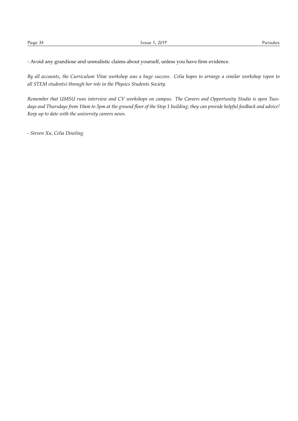- Avoid any grandiose and unrealistic claims about yourself, unless you have firm evidence.

*By all accounts, the Curriculum Vitae workshop was a huge success. Celia hopes to arrange a similar workshop (open to all STEM students) through her role in the Physics Students Society.*

*Remember that UMSU runs interview and CV workshops on campus. The Careers and Opportunity Studio is open Tuesdays and Thursdays from 10am to 5pm at the ground floor of the Stop 1 building; they can provide helpful feedback and advice! Keep up to date with the university careers news.*

*- Steven Xu, Celia Dowling*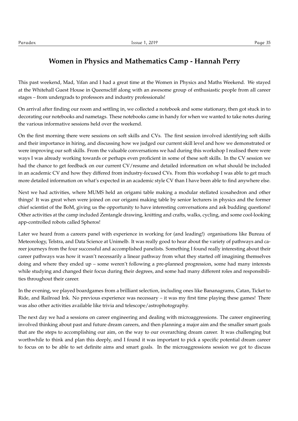This past weekend, Mad, Yifan and I had a great time at the Women in Physics and Maths Weekend. We stayed at the Whitehall Guest House in Queenscliff along with an awesome group of enthusiastic people from all career stages – from undergrads to professors and industry professionals!

On arrival after finding our room and settling in, we collected a notebook and some stationary, then got stuck in to decorating our notebooks and nametags. These notebooks came in handy for when we wanted to take notes during the various informative sessions held over the weekend.

On the first morning there were sessions on soft skills and CVs. The first session involved identifying soft skills and their importance in hiring, and discussing how we judged our current skill level and how we demonstrated or were improving our soft skills. From the valuable conversations we had during this workshop I realised there were ways I was already working towards or perhaps even proficient in some of these soft skills. In the CV session we had the chance to get feedback on our current CV/resume and detailed information on what should be included in an academic CV and how they differed from industry-focused CVs. From this workshop I was able to get much more detailed information on what's expected in an academic style CV than I have been able to find anywhere else.

Next we had activities, where MUMS held an origami table making a modular stellated icosahedron and other things! It was great when were joined on our origami making table by senior lecturers in physics and the former chief scientist of the BoM, giving us the opportunity to have interesting conversations and ask budding questions! Other activities at the camp included Zentangle drawing, knitting and crafts, walks, cycling, and some cool-looking app-controlled robots called Spheros!

Later we heard from a careers panel with experience in working for (and leading!) organisations like Bureau of Meteorology, Telstra, and Data Science at Unimelb. It was really good to hear about the variety of pathways and career journeys from the four successful and accomplished panelists. Something I found really interesting about their career pathways was how it wasn't necessarily a linear pathway from what they started off imagining themselves doing and where they ended up – some weren't following a pre-planned progression, some had many interests while studying and changed their focus during their degrees, and some had many different roles and responsibilities throughout their career.

In the evening, we played boardgames from a brilliant selection, including ones like Bananagrams, Catan, Ticket to Ride, and Railroad Ink. No previous experience was necessary – it was my first time playing these games! There was also other activities available like trivia and telescope/astrophotography.

The next day we had a sessions on career engineering and dealing with microaggressions. The career engineering involved thinking about past and future dream careers, and then planning a major aim and the smaller smart goals that are the steps to accomplishing our aim, on the way to our overarching dream career. It was challenging but worthwhile to think and plan this deeply, and I found it was important to pick a specific potential dream career to focus on to be able to set definite aims and smart goals. In the microaggressions session we got to discuss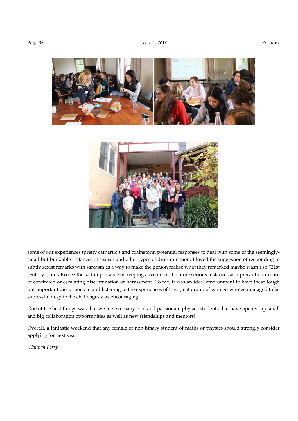



some of our experiences (pretty cathartic!) and brainstorm potential responses to deal with some of the seeminglysmall-but-buildable instances of sexism and other types of discrimination. I loved the suggestion of responding to subtly sexist remarks with sarcasm as a way to make the person realise what they remarked maybe wasn't so "21st century", but also see the sad importance of keeping a record of the more serious instances as a precaution in case of continued or escalating discrimination or harassment. To me, it was an ideal environment to have these tough but important discussions in and listening to the experiences of this great group of women who've managed to be successful despite the challenges was encouraging.

One of the best things was that we met so many cool and passionate physics students that have opened up small and big collaboration opportunities as well as new friendships and mentors!

Overall, a fantastic weekend that any female or non-binary student of maths or physics should strongly consider applying for next year!

*-Hannah Perry*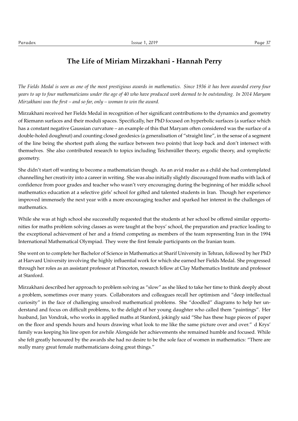### **The Life of Miriam Mirzakhani - Hannah Perry**

*The Fields Medal is seen as one of the most prestigious awards in mathematics. Since 1936 it has been awarded every four years to up to four mathematicians under the age of 40 who have produced work deemed to be outstanding. In 2014 Maryam Mirzakhani was the first – and so far, only – woman to win the award.*

Mirzakhani received her Fields Medal in recognition of her significant contributions to the dynamics and geometry of Riemann surfaces and their moduli spaces. Specifically, her PhD focused on hyperbolic surfaces (a surface which has a constant negative Gaussian curvature – an example of this that Maryam often considered was the surface of a double-holed doughnut) and counting closed geodesics (a generalisation of "straight line", in the sense of a segment of the line being the shortest path along the surface between two points) that loop back and don't intersect with themselves. She also contributed research to topics including Teichmuller theory, ergodic theory, and symplectic ¨ geometry.

She didn't start off wanting to become a mathematician though. As an avid reader as a child she had contemplated channelling her creativity into a career in writing. She was also initially slightly discouraged from maths with lack of confidence from poor grades and teacher who wasn't very encouraging during the beginning of her middle school mathematics education at a selective girls' school for gifted and talented students in Iran. Though her experience improved immensely the next year with a more encouraging teacher and sparked her interest in the challenges of mathematics.

While she was at high school she successfully requested that the students at her school be offered similar opportunities for maths problem solving classes as were taught at the boys' school, the preparation and practice leading to the exceptional achievement of her and a friend competing as members of the team representing Iran in the 1994 International Mathematical Olympiad. They were the first female participants on the Iranian team.

She went on to complete her Bachelor of Science in Mathematics at Sharif University in Tehran, followed by her PhD at Harvard University involving the highly influential work for which she earned her Fields Medal. She progressed through her roles as an assistant professor at Princeton, research fellow at Clay Mathematics Institute and professor at Stanford.

Mirzakhani described her approach to problem solving as "slow" as she liked to take her time to think deeply about a problem, sometimes over many years. Collaborators and colleagues recall her optimism and "deep intellectual curiosity" in the face of challenging unsolved mathematical problems. She "doodled" diagrams to help her understand and focus on difficult problems, to the delight of her young daughter who called them "paintings". Her husband, Jan Vondrak, who works in applied maths at Stanford, jokingly said "She has these huge pieces of paper on the floor and spends hours and hours drawing what look to me like the same picture over and over." d Krys' family was keeping his line open for awhile Alongside her achievements she remained humble and focused. While she felt greatly honoured by the awards she had no desire to be the sole face of women in mathematics: "There are really many great female mathematicians doing great things."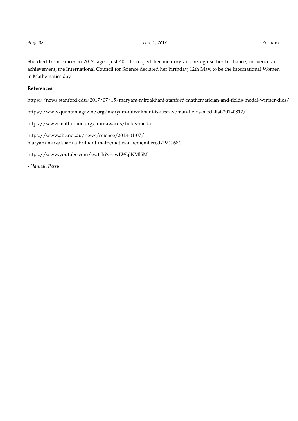She died from cancer in 2017, aged just 40. To respect her memory and recognise her brilliance, influence and achievement, the International Council for Science declared her birthday, 12th May, to be the International Women in Mathematics day.

#### **References:**

https://news.stanford.edu/2017/07/15/maryam-mirzakhani-stanford-mathematician-and-fields-medal-winner-dies/

https://www.quantamagazine.org/maryam-mirzakhani-is-first-woman-fields-medalist-20140812/

https://www.mathunion.org/imu-awards/fields-medal

https://www.abc.net.au/news/science/2018-01-07/ maryam-mirzakhani-a-brilliant-mathematician-remembered/9240684

https://www.youtube.com/watch?v=swLWqlKMl5M

*- Hannah Perry*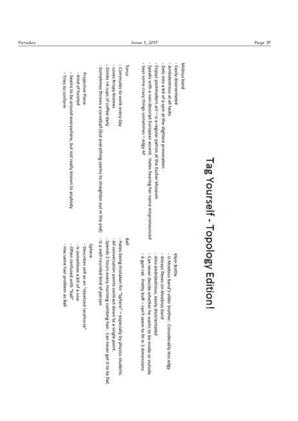| - Also ambidentrous, easily d    | joys postmodern art - is a regular patron at the Escher Museum |
|----------------------------------|----------------------------------------------------------------|
| <b>Jways flexes on Moebius b</b> | ts into a bit of a spin at the slightest provocation           |
| Is anoebus band's older bre      | nbidextrous at all tasks                                       |
| Klein Bottle                     | sity disorientation                                            |
|                                  | bius ban                                                       |
|                                  |                                                                |
| Tag Yourself - Topology Edition! |                                                                |
|                                  |                                                                |

| - Is sometimes a bit of a cow<br>- Describers self as an "idealized racehorse"                                                                                                                              | Projective Plane<br>- Kind of twisted                                                                                                                                                                                                                                          |
|-------------------------------------------------------------------------------------------------------------------------------------------------------------------------------------------------------------|--------------------------------------------------------------------------------------------------------------------------------------------------------------------------------------------------------------------------------------------------------------------------------|
| auauts                                                                                                                                                                                                      | - Sometimes throws a curveball (but everything seems to straighten out in the end) - is a well-rounded kind of person                                                                                                                                                          |
| - All conversation points contract down to a single point.<br>- Spends 2 hours every morning combing hair. Can never get it to lie flat.                                                                    | - Drinks >4 cups of coffee daily<br>- Loves Krispy Kremes                                                                                                                                                                                                                      |
| - Hans being mistaken for "Sphere" - especially by physics students                                                                                                                                         | - Commutes to work eveny day                                                                                                                                                                                                                                                   |
| Ball                                                                                                                                                                                                        | <b>Tones</b>                                                                                                                                                                                                                                                                   |
| - Can never decide whether he wonts to be inside or outside<br>- Also ambidentrous, easily disorientated<br>- A gym rat. Pretty buff - can't seem to fit in 3 dimensions<br>- Always flexes on Moebius band | - Enjoys postmodern art - is a regular patron at the Escher Museum<br>- Says some crary things sometimes - edge AF $\Lambda$ =<br>Speaks with a non-descript European accent. Hates hearing her name mispronounced<br>- Gets into a bit of a spin at the slightest provocation |
| <b>Kings Bottle</b><br>- Is Moebus band's older brother. Considerably less edgy                                                                                                                             | - Ambidextrous all tasks<br>- Easily disprientated                                                                                                                                                                                                                             |
|                                                                                                                                                                                                             | <b>Mobius</b> band                                                                                                                                                                                                                                                             |

- Tries to conform

- Seems to be around everywhere, but not really known to anybody

- Hat same hair problem as Ball - Often confused with "ball" - is sometimes a bit of a cow